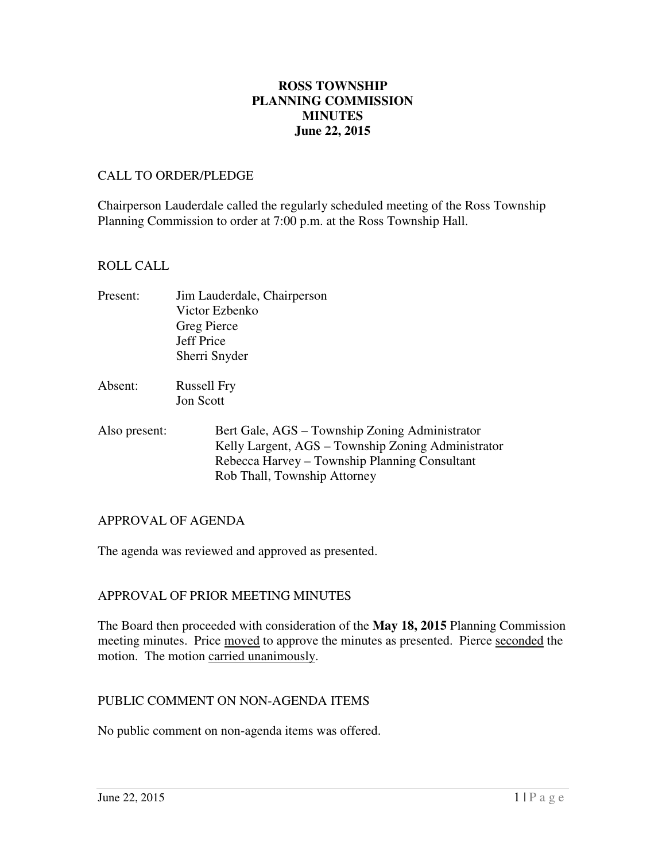# **June 22, 2015 ROSS TOWNSHIP PLANNING COMMISSION MINUTES**

#### CALL TO ORDER/PLEDGE

 Chairperson Lauderdale called the regularly scheduled meeting of the Ross Township Planning Commission to order at 7:00 p.m. at the Ross Township Hall.

### ROLL CALL

| Present: | Jim Lauderdale, Chairperson |
|----------|-----------------------------|
|          | Victor Ezbenko              |
|          | Greg Pierce                 |
|          | Jeff Price                  |
|          | Sherri Snyder               |
|          |                             |

- Absent: Russell Fry Jon Scott
- Also present: Rob Thall, Township Attorney Bert Gale, AGS – Township Zoning Administrator Kelly Largent, AGS – Township Zoning Administrator Rebecca Harvey – Township Planning Consultant

# APPROVAL OF AGENDA

The agenda was reviewed and approved as presented.

# APPROVAL OF PRIOR MEETING MINUTES

 The Board then proceeded with consideration of the **May 18, 2015** Planning Commission meeting minutes. Price moved to approve the minutes as presented. Pierce seconded the motion. The motion carried unanimously.

### PUBLIC COMMENT ON NON-AGENDA ITEMS

No public comment on non-agenda items was offered.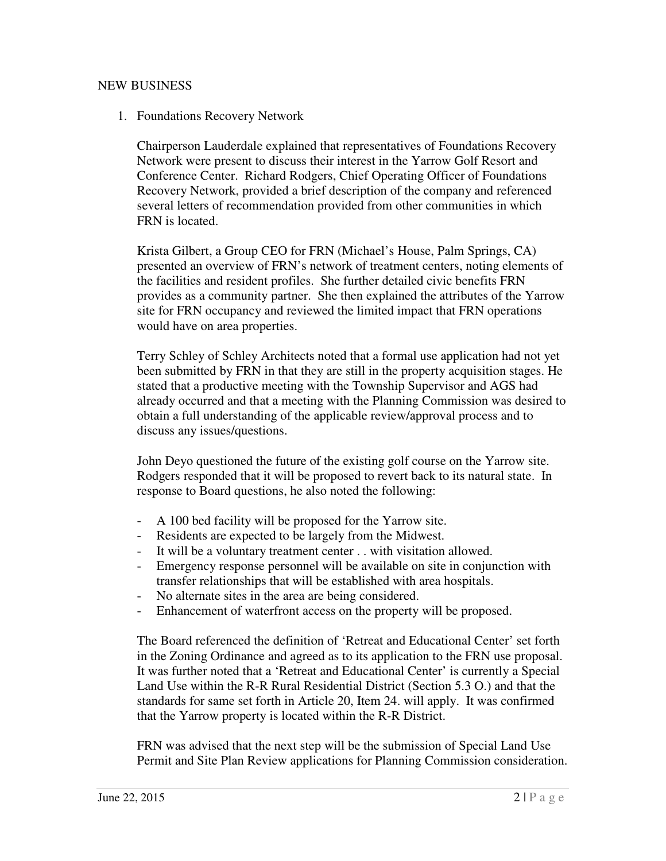# NEW BUSINESS

### 1. Foundations Recovery Network

 Chairperson Lauderdale explained that representatives of Foundations Recovery Network were present to discuss their interest in the Yarrow Golf Resort and Conference Center. Richard Rodgers, Chief Operating Officer of Foundations Recovery Network, provided a brief description of the company and referenced several letters of recommendation provided from other communities in which FRN is located.

 Krista Gilbert, a Group CEO for FRN (Michael's House, Palm Springs, CA) presented an overview of FRN's network of treatment centers, noting elements of the facilities and resident profiles. She further detailed civic benefits FRN provides as a community partner. She then explained the attributes of the Yarrow site for FRN occupancy and reviewed the limited impact that FRN operations would have on area properties.

 Terry Schley of Schley Architects noted that a formal use application had not yet been submitted by FRN in that they are still in the property acquisition stages. He stated that a productive meeting with the Township Supervisor and AGS had already occurred and that a meeting with the Planning Commission was desired to obtain a full understanding of the applicable review/approval process and to discuss any issues/questions.

 John Deyo questioned the future of the existing golf course on the Yarrow site. Rodgers responded that it will be proposed to revert back to its natural state. In response to Board questions, he also noted the following:

- A 100 bed facility will be proposed for the Yarrow site.
- Residents are expected to be largely from the Midwest.
- It will be a voluntary treatment center . . with visitation allowed.
- - Emergency response personnel will be available on site in conjunction with transfer relationships that will be established with area hospitals.
- No alternate sites in the area are being considered.
- Enhancement of waterfront access on the property will be proposed.

 The Board referenced the definition of 'Retreat and Educational Center' set forth in the Zoning Ordinance and agreed as to its application to the FRN use proposal. It was further noted that a 'Retreat and Educational Center' is currently a Special Land Use within the R-R Rural Residential District (Section 5.3 O.) and that the standards for same set forth in Article 20, Item 24. will apply. It was confirmed that the Yarrow property is located within the R-R District.

 FRN was advised that the next step will be the submission of Special Land Use Permit and Site Plan Review applications for Planning Commission consideration.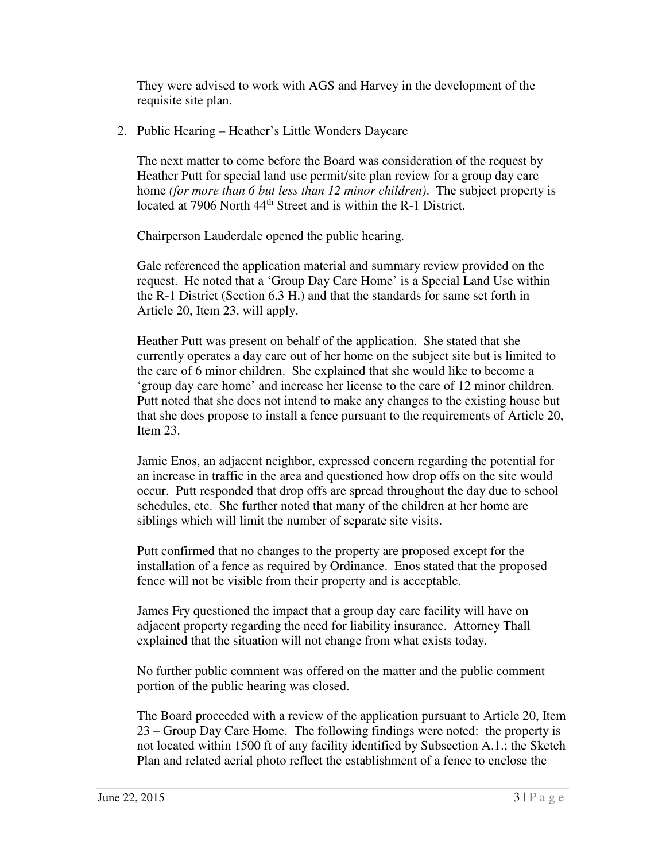They were advised to work with AGS and Harvey in the development of the requisite site plan.

2. Public Hearing – Heather's Little Wonders Daycare

 The next matter to come before the Board was consideration of the request by Heather Putt for special land use permit/site plan review for a group day care  home *(for more than 6 but less than 12 minor children)*. The subject property is located at 7906 North 44<sup>th</sup> Street and is within the R-1 District.

Chairperson Lauderdale opened the public hearing.

 Gale referenced the application material and summary review provided on the request. He noted that a 'Group Day Care Home' is a Special Land Use within the R-1 District (Section 6.3 H.) and that the standards for same set forth in Article 20, Item 23. will apply.

 Heather Putt was present on behalf of the application. She stated that she currently operates a day care out of her home on the subject site but is limited to the care of 6 minor children. She explained that she would like to become a 'group day care home' and increase her license to the care of 12 minor children. Putt noted that she does not intend to make any changes to the existing house but that she does propose to install a fence pursuant to the requirements of Article 20, Item 23.

 Jamie Enos, an adjacent neighbor, expressed concern regarding the potential for an increase in traffic in the area and questioned how drop offs on the site would occur. Putt responded that drop offs are spread throughout the day due to school schedules, etc. She further noted that many of the children at her home are siblings which will limit the number of separate site visits.

 Putt confirmed that no changes to the property are proposed except for the installation of a fence as required by Ordinance. Enos stated that the proposed fence will not be visible from their property and is acceptable.

 James Fry questioned the impact that a group day care facility will have on adjacent property regarding the need for liability insurance. Attorney Thall explained that the situation will not change from what exists today.

 No further public comment was offered on the matter and the public comment portion of the public hearing was closed.

 The Board proceeded with a review of the application pursuant to Article 20, Item 23 – Group Day Care Home. The following findings were noted: the property is not located within 1500 ft of any facility identified by Subsection A.1.; the Sketch Plan and related aerial photo reflect the establishment of a fence to enclose the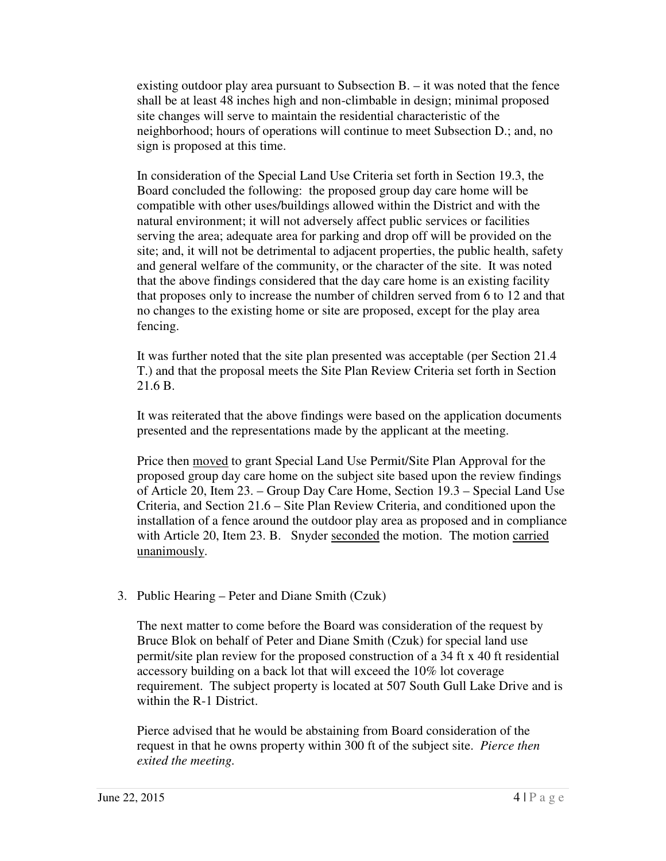existing outdoor play area pursuant to Subsection B. – it was noted that the fence shall be at least 48 inches high and non-climbable in design; minimal proposed site changes will serve to maintain the residential characteristic of the neighborhood; hours of operations will continue to meet Subsection D.; and, no sign is proposed at this time.

 In consideration of the Special Land Use Criteria set forth in Section 19.3, the Board concluded the following: the proposed group day care home will be compatible with other uses/buildings allowed within the District and with the natural environment; it will not adversely affect public services or facilities serving the area; adequate area for parking and drop off will be provided on the site; and, it will not be detrimental to adjacent properties, the public health, safety and general welfare of the community, or the character of the site. It was noted that the above findings considered that the day care home is an existing facility that proposes only to increase the number of children served from 6 to 12 and that no changes to the existing home or site are proposed, except for the play area fencing.

 It was further noted that the site plan presented was acceptable (per Section 21.4 T.) and that the proposal meets the Site Plan Review Criteria set forth in Section 21.6 B.

 It was reiterated that the above findings were based on the application documents presented and the representations made by the applicant at the meeting.

Price then **moved** to grant Special Land Use Permit/Site Plan Approval for the proposed group day care home on the subject site based upon the review findings of Article 20, Item 23. – Group Day Care Home, Section 19.3 – Special Land Use Criteria, and Section 21.6 – Site Plan Review Criteria, and conditioned upon the installation of a fence around the outdoor play area as proposed and in compliance with Article 20, Item 23. B. Snyder seconded the motion. The motion carried unanimously.

3. Public Hearing – Peter and Diane Smith (Czuk)

 The next matter to come before the Board was consideration of the request by Bruce Blok on behalf of Peter and Diane Smith (Czuk) for special land use permit/site plan review for the proposed construction of a 34 ft x 40 ft residential accessory building on a back lot that will exceed the 10% lot coverage requirement. The subject property is located at 507 South Gull Lake Drive and is within the R-1 District.

 Pierce advised that he would be abstaining from Board consideration of the request in that he owns property within 300 ft of the subject site. *Pierce then exited the meeting.*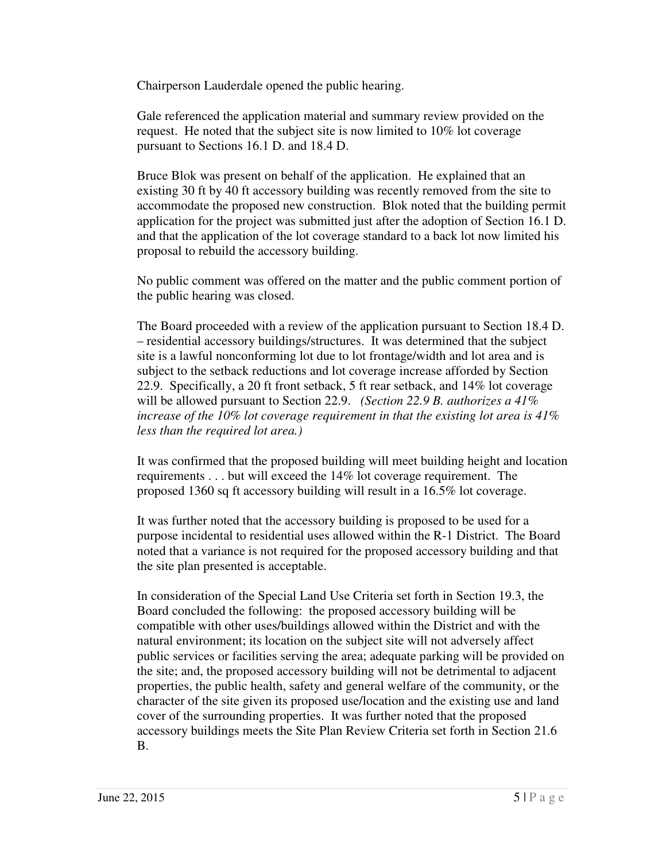Chairperson Lauderdale opened the public hearing.

 Gale referenced the application material and summary review provided on the request. He noted that the subject site is now limited to 10% lot coverage pursuant to Sections 16.1 D. and 18.4 D.

 Bruce Blok was present on behalf of the application. He explained that an existing 30 ft by 40 ft accessory building was recently removed from the site to accommodate the proposed new construction. Blok noted that the building permit application for the project was submitted just after the adoption of Section 16.1 D. and that the application of the lot coverage standard to a back lot now limited his proposal to rebuild the accessory building.

 No public comment was offered on the matter and the public comment portion of the public hearing was closed.

 The Board proceeded with a review of the application pursuant to Section 18.4 D. – residential accessory buildings/structures. It was determined that the subject site is a lawful nonconforming lot due to lot frontage/width and lot area and is subject to the setback reductions and lot coverage increase afforded by Section 22.9. Specifically, a 20 ft front setback, 5 ft rear setback, and 14% lot coverage will be allowed pursuant to Section 22.9. *(Section 22.9 B. authorizes a 41% increase of the 10% lot coverage requirement in that the existing lot area is 41% less than the required lot area.)* 

 It was confirmed that the proposed building will meet building height and location requirements . . . but will exceed the 14% lot coverage requirement. The proposed 1360 sq ft accessory building will result in a 16.5% lot coverage.

 It was further noted that the accessory building is proposed to be used for a purpose incidental to residential uses allowed within the R-1 District. The Board noted that a variance is not required for the proposed accessory building and that the site plan presented is acceptable.

 In consideration of the Special Land Use Criteria set forth in Section 19.3, the Board concluded the following: the proposed accessory building will be compatible with other uses/buildings allowed within the District and with the natural environment; its location on the subject site will not adversely affect public services or facilities serving the area; adequate parking will be provided on the site; and, the proposed accessory building will not be detrimental to adjacent properties, the public health, safety and general welfare of the community, or the character of the site given its proposed use/location and the existing use and land cover of the surrounding properties. It was further noted that the proposed accessory buildings meets the Site Plan Review Criteria set forth in Section 21.6 B.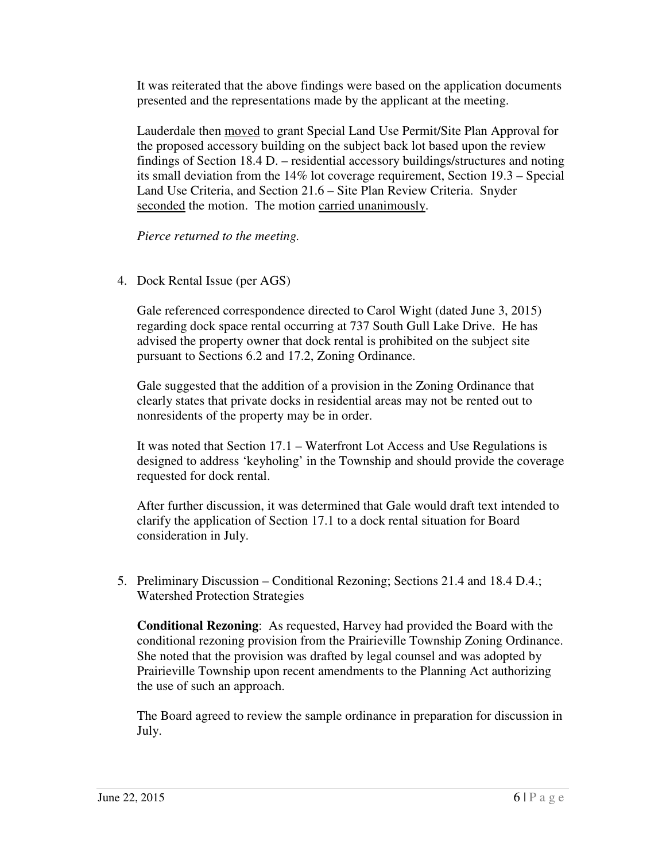It was reiterated that the above findings were based on the application documents presented and the representations made by the applicant at the meeting.

Lauderdale then **moved** to grant Special Land Use Permit/Site Plan Approval for the proposed accessory building on the subject back lot based upon the review findings of Section 18.4 D. – residential accessory buildings/structures and noting its small deviation from the 14% lot coverage requirement, Section 19.3 – Special Land Use Criteria, and Section 21.6 – Site Plan Review Criteria. Snyder seconded the motion. The motion carried unanimously.

 *Pierce returned to the meeting.* 

4. Dock Rental Issue (per AGS)

 Gale referenced correspondence directed to Carol Wight (dated June 3, 2015) regarding dock space rental occurring at 737 South Gull Lake Drive. He has advised the property owner that dock rental is prohibited on the subject site pursuant to Sections 6.2 and 17.2, Zoning Ordinance.

 Gale suggested that the addition of a provision in the Zoning Ordinance that clearly states that private docks in residential areas may not be rented out to nonresidents of the property may be in order.

 It was noted that Section 17.1 – Waterfront Lot Access and Use Regulations is designed to address 'keyholing' in the Township and should provide the coverage requested for dock rental.

 After further discussion, it was determined that Gale would draft text intended to clarify the application of Section 17.1 to a dock rental situation for Board consideration in July.

5. Preliminary Discussion – Conditional Rezoning; Sections 21.4 and 18.4 D.4.; Watershed Protection Strategies

 **Conditional Rezoning**: As requested, Harvey had provided the Board with the conditional rezoning provision from the Prairieville Township Zoning Ordinance. She noted that the provision was drafted by legal counsel and was adopted by Prairieville Township upon recent amendments to the Planning Act authorizing the use of such an approach.

 The Board agreed to review the sample ordinance in preparation for discussion in July.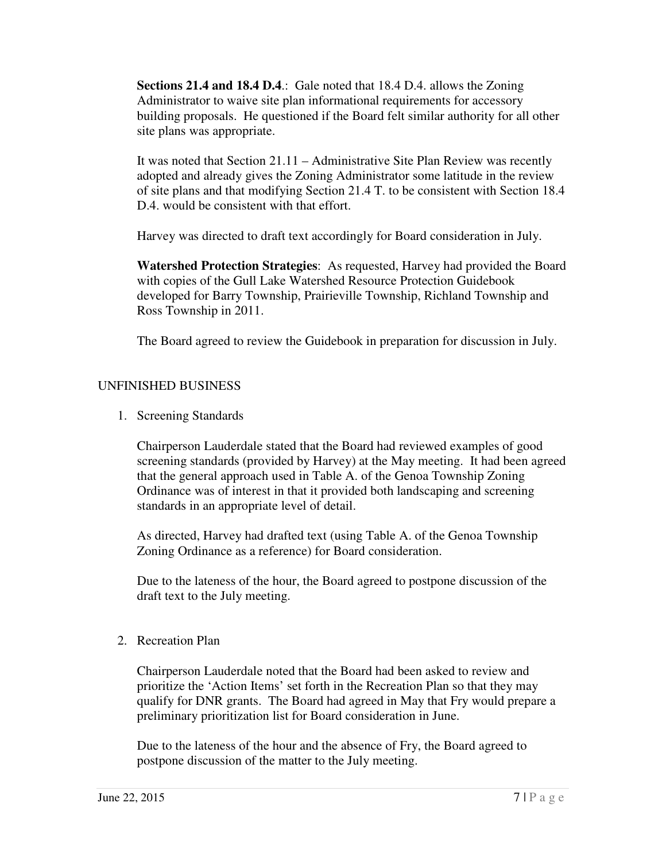**Sections 21.4 and 18.4 D.4**.: Gale noted that 18.4 D.4. allows the Zoning Administrator to waive site plan informational requirements for accessory building proposals. He questioned if the Board felt similar authority for all other site plans was appropriate.

 It was noted that Section 21.11 – Administrative Site Plan Review was recently adopted and already gives the Zoning Administrator some latitude in the review of site plans and that modifying Section 21.4 T. to be consistent with Section 18.4 D.4. would be consistent with that effort.

Harvey was directed to draft text accordingly for Board consideration in July.

 **Watershed Protection Strategies**: As requested, Harvey had provided the Board with copies of the Gull Lake Watershed Resource Protection Guidebook developed for Barry Township, Prairieville Township, Richland Township and Ross Township in 2011.

The Board agreed to review the Guidebook in preparation for discussion in July.

# UNFINISHED BUSINESS

1. Screening Standards

 Chairperson Lauderdale stated that the Board had reviewed examples of good screening standards (provided by Harvey) at the May meeting. It had been agreed that the general approach used in Table A. of the Genoa Township Zoning Ordinance was of interest in that it provided both landscaping and screening standards in an appropriate level of detail.

 As directed, Harvey had drafted text (using Table A. of the Genoa Township Zoning Ordinance as a reference) for Board consideration.

 Due to the lateness of the hour, the Board agreed to postpone discussion of the draft text to the July meeting.

2. Recreation Plan

 Chairperson Lauderdale noted that the Board had been asked to review and prioritize the 'Action Items' set forth in the Recreation Plan so that they may qualify for DNR grants. The Board had agreed in May that Fry would prepare a preliminary prioritization list for Board consideration in June.

 Due to the lateness of the hour and the absence of Fry, the Board agreed to postpone discussion of the matter to the July meeting.